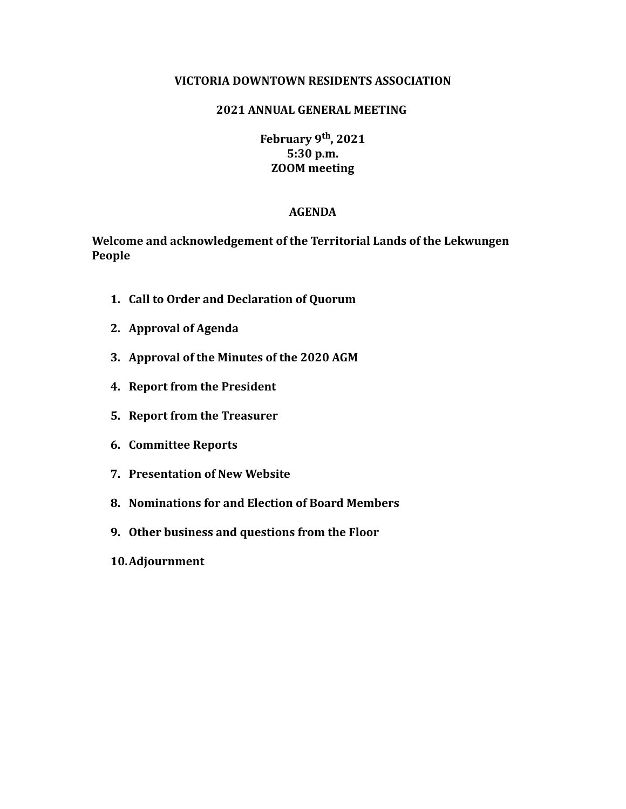#### **VICTORIA DOWNTOWN RESIDENTS ASSOCIATION**

### **2021 ANNUAL GENERAL MEETING**

**February 9th, 2021 5:30 p.m. ZOOM meeting**

#### **AGENDA**

**Welcome and acknowledgement of the Territorial Lands of the Lekwungen People**

- **1. Call to Order and Declaration of Quorum**
- **2. Approval of Agenda**
- **3. Approval of the Minutes of the 2020 AGM**
- **4. Report from the President**
- **5. Report from the Treasurer**
- **6. Committee Reports**
- **7. Presentation of New Website**
- **8. Nominations for and Election of Board Members**
- **9. Other business and questions from the Floor**
- **10.Adjournment**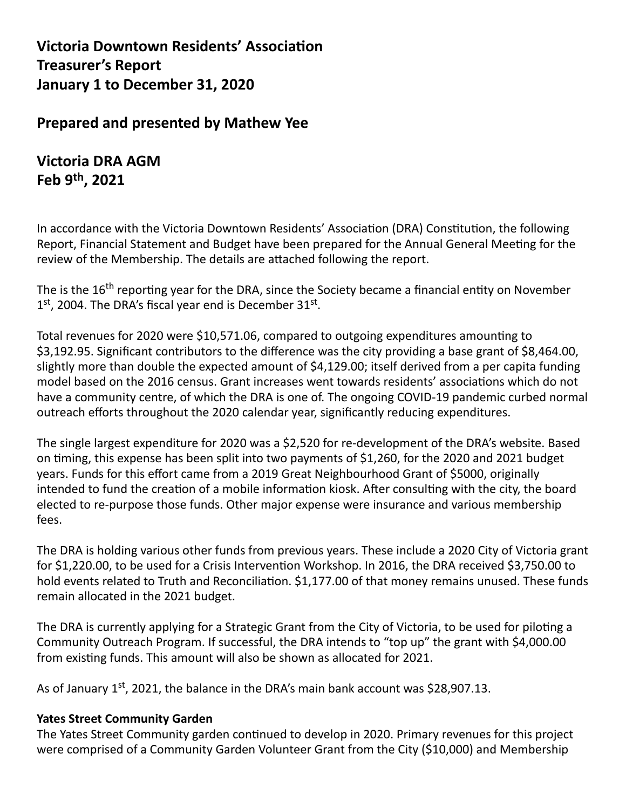**Victoria Downtown Residents' Association Treasurer's Report January 1 to December 31, 2020**

# **Prepared and presented by Mathew Yee**

# **Victoria DRA AGM Feb 9th , 2021**

In accordance with the Victoria Downtown Residents' Association (DRA) Constitution, the following Report, Financial Statement and Budget have been prepared for the Annual General Meeting for the review of the Membership. The details are attached following the report.

The is the 16<sup>th</sup> reporting year for the DRA, since the Society became a financial entity on November  $1<sup>st</sup>$ , 2004. The DRA's fiscal year end is December  $31<sup>st</sup>$ .

Total revenues for 2020 were \$10,571.06, compared to outgoing expenditures amounting to \$3,192.95. Significant contributors to the difference was the city providing a base grant of \$8,464.00, slightly more than double the expected amount of \$4,129.00; itself derived from a per capita funding model based on the 2016 census. Grant increases went towards residents' associations which do not have a community centre, of which the DRA is one of. The ongoing COVID-19 pandemic curbed normal outreach efforts throughout the 2020 calendar year, significantly reducing expenditures.

The single largest expenditure for 2020 was a \$2,520 for re-development of the DRA's website. Based on timing, this expense has been split into two payments of \$1,260, for the 2020 and 2021 budget years. Funds for this effort came from a 2019 Great Neighbourhood Grant of \$5000, originally intended to fund the creation of a mobile information kiosk. After consulting with the city, the board elected to re-purpose those funds. Other major expense were insurance and various membership fees.

The DRA is holding various other funds from previous years. These include a 2020 City of Victoria grant for \$1,220.00, to be used for a Crisis Intervention Workshop. In 2016, the DRA received \$3,750.00 to hold events related to Truth and Reconciliation. \$1,177.00 of that money remains unused. These funds remain allocated in the 2021 budget.

The DRA is currently applying for a Strategic Grant from the City of Victoria, to be used for piloting a Community Outreach Program. If successful, the DRA intends to "top up" the grant with \$4,000.00 from existing funds. This amount will also be shown as allocated for 2021.

As of January 1<sup>st</sup>, 2021, the balance in the DRA's main bank account was \$28,907.13.

### **Yates Street Community Garden**

The Yates Street Community garden continued to develop in 2020. Primary revenues for this project were comprised of a Community Garden Volunteer Grant from the City (\$10,000) and Membership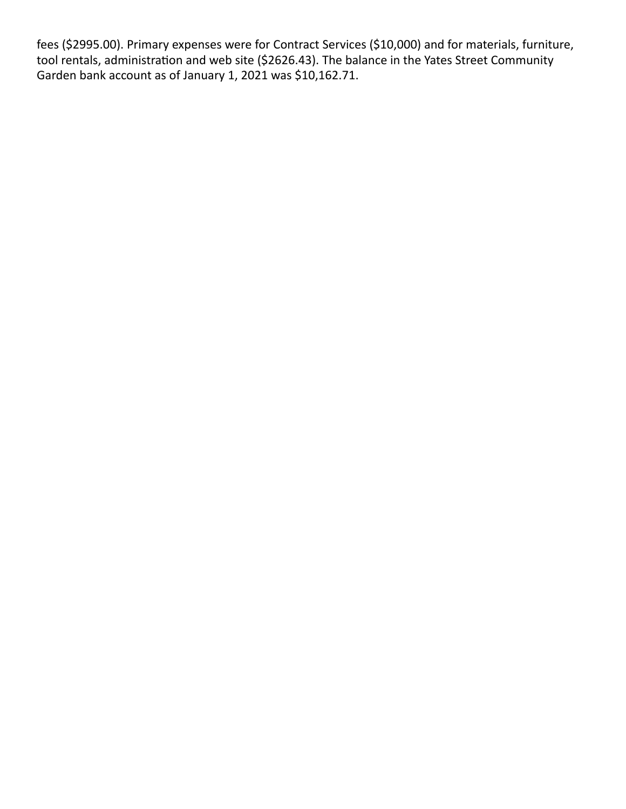fees (\$2995.00). Primary expenses were for Contract Services (\$10,000) and for materials, furniture, tool rentals, administration and web site (\$2626.43). The balance in the Yates Street Community Garden bank account as of January 1, 2021 was \$10,162.71.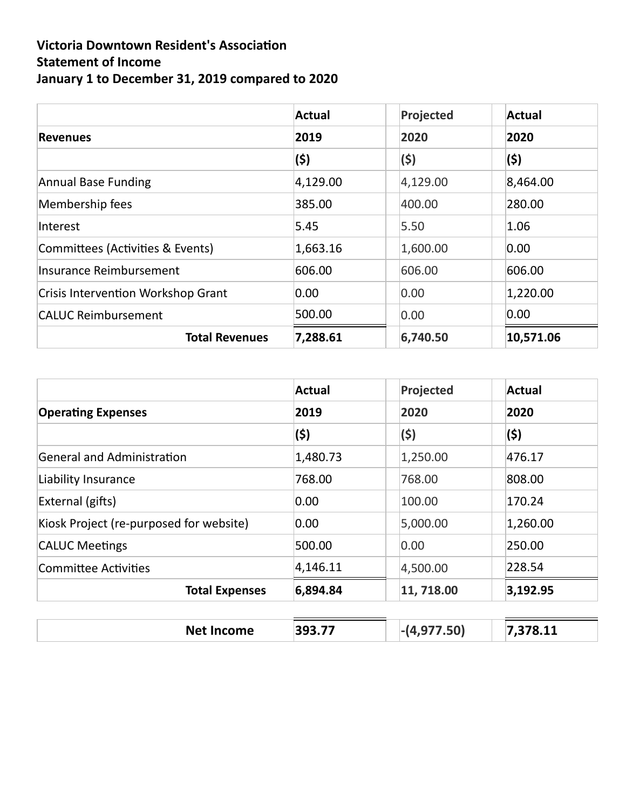# **Victoria Downtown Resident's Association Statement of Income January 1 to December 31, 2019 compared to 2020**

|                                           | <b>Actual</b> | Projected | Actual    |
|-------------------------------------------|---------------|-----------|-----------|
| <b>Revenues</b>                           | 2019          | 2020      | 2020      |
|                                           | (\$)          | (\$)      | (\$)      |
| Annual Base Funding                       | 4,129.00      | 4,129.00  | 8,464.00  |
| Membership fees                           | 385.00        | 400.00    | 280.00    |
| Interest                                  | 5.45          | 5.50      | 1.06      |
| Committees (Activities & Events)          | 1,663.16      | 1,600.00  | 0.00      |
| Insurance Reimbursement                   | 606.00        | 606.00    | 606.00    |
| <b>Crisis Intervention Workshop Grant</b> | 0.00          | 0.00      | 1,220.00  |
| <b>CALUC Reimbursement</b>                | 500.00        | 0.00      | 0.00      |
| <b>Total Revenues</b>                     | 7,288.61      | 6,740.50  | 10,571.06 |

|                                         | <b>Actual</b> | Projected    | <b>Actual</b> |
|-----------------------------------------|---------------|--------------|---------------|
| <b>Operating Expenses</b>               | 2019<br>(\$)  | 2020<br>(\$) | 2020<br>(\$)  |
|                                         |               |              |               |
| Liability Insurance                     | 768.00        | 768.00       | 808.00        |
| External (gifts)                        | 0.00          | 100.00       | 170.24        |
| Kiosk Project (re-purposed for website) | 0.00          | 5,000.00     | 1,260.00      |
| <b>CALUC Meetings</b>                   | 500.00        | 0.00         | 250.00        |
| Committee Activities                    | 4,146.11      | 4,500.00     | 228.54        |
| <b>Total Expenses</b>                   | 6,894.84      | 11, 718.00   | 3,192.95      |

| <b>Net</b><br>วme<br>___ | $- -$<br>マロー<br>_ _ _ | וח־ | - 44<br> |
|--------------------------|-----------------------|-----|----------|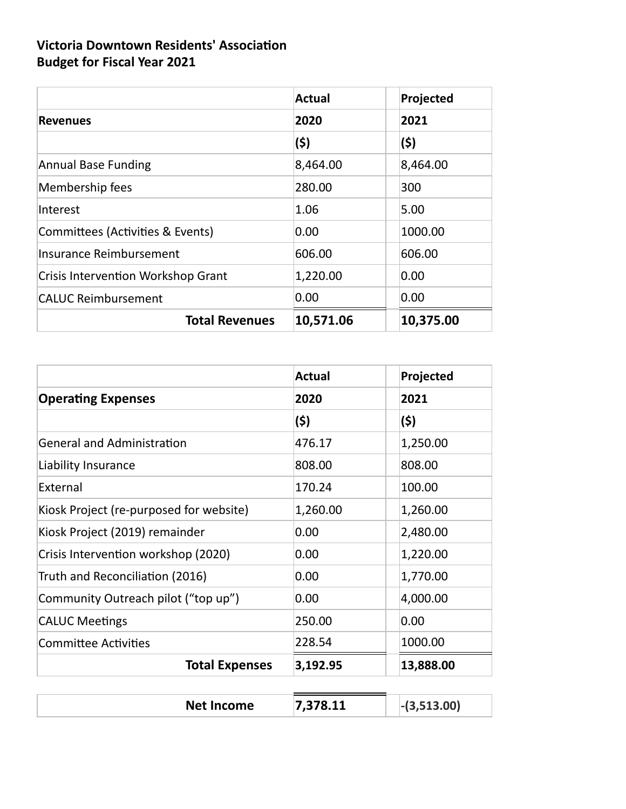# **Victoria Downtown Residents' Association Budget for Fiscal Year 2021**

|                                           | <b>Actual</b> | Projected |
|-------------------------------------------|---------------|-----------|
| <b>Revenues</b>                           | 2020          | 2021      |
|                                           | (\$)          | (\$)      |
| <b>Annual Base Funding</b>                | 8,464.00      | 8,464.00  |
| Membership fees                           | 280.00        | 300       |
| Interest                                  | 1.06          | 5.00      |
| Committees (Activities & Events)          | 0.00          | 1000.00   |
| Insurance Reimbursement                   | 606.00        | 606.00    |
| <b>Crisis Intervention Workshop Grant</b> | 1,220.00      | 0.00      |
| <b>CALUC Reimbursement</b>                | 0.00          | 0.00      |
| <b>Total Revenues</b>                     | 10,571.06     | 10,375.00 |

|                                         | <b>Actual</b> | Projected     |
|-----------------------------------------|---------------|---------------|
| <b>Operating Expenses</b>               | 2020          | 2021          |
|                                         | (\$)          | (\$)          |
| <b>General and Administration</b>       | 476.17        | 1,250.00      |
| Liability Insurance                     | 808.00        | 808.00        |
| External                                | 170.24        | 100.00        |
| Kiosk Project (re-purposed for website) | 1,260.00      | 1,260.00      |
| Kiosk Project (2019) remainder          | 0.00          | 2,480.00      |
| Crisis Intervention workshop (2020)     | 0.00          | 1,220.00      |
| Truth and Reconciliation (2016)         | 0.00          | 1,770.00      |
| Community Outreach pilot ("top up")     | 0.00          | 4,000.00      |
| <b>CALUC Meetings</b>                   | 250.00        | 0.00          |
| <b>Committee Activities</b>             | 228.54        | 1000.00       |
| <b>Total Expenses</b>                   | 3,192.95      | 13,888.00     |
| <b>Net Income</b>                       | 7,378.11      | $-(3,513.00)$ |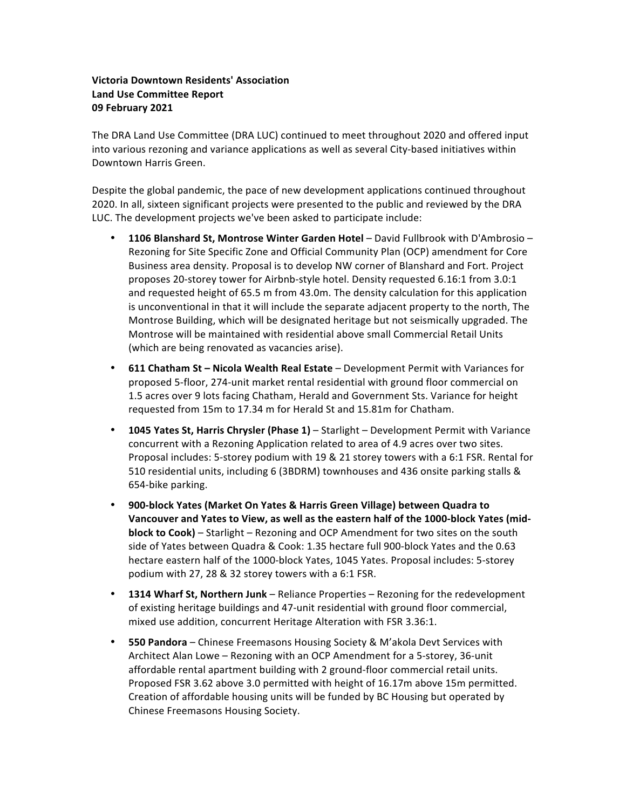#### **Victoria Downtown Residents' Association Land Use Committee Report 09 February 2021**

The DRA Land Use Committee (DRA LUC) continued to meet throughout 2020 and offered input into various rezoning and variance applications as well as several City-based initiatives within Downtown Harris Green.

Despite the global pandemic, the pace of new development applications continued throughout 2020. In all, sixteen significant projects were presented to the public and reviewed by the DRA LUC. The development projects we've been asked to participate include:

- **1106 Blanshard St, Montrose Winter Garden Hotel** David Fullbrook with D'Ambrosio Rezoning for Site Specific Zone and Official Community Plan (OCP) amendment for Core Business area density. Proposal is to develop NW corner of Blanshard and Fort. Project proposes 20-storey tower for Airbnb-style hotel. Density requested 6.16:1 from 3.0:1 and requested height of 65.5 m from 43.0m. The density calculation for this application is unconventional in that it will include the separate adjacent property to the north, The Montrose Building, which will be designated heritage but not seismically upgraded. The Montrose will be maintained with residential above small Commercial Retail Units (which are being renovated as vacancies arise).
- **611 Chatham St Nicola Wealth Real Estate** Development Permit with Variances for proposed 5-floor, 274-unit market rental residential with ground floor commercial on 1.5 acres over 9 lots facing Chatham, Herald and Government Sts. Variance for height requested from 15m to 17.34 m for Herald St and 15.81m for Chatham.
- **1045 Yates St, Harris Chrysler (Phase 1)** Starlight Development Permit with Variance concurrent with a Rezoning Application related to area of 4.9 acres over two sites. Proposal includes: 5-storey podium with 19 & 21 storey towers with a 6:1 FSR. Rental for 510 residential units, including 6 (3BDRM) townhouses and 436 onsite parking stalls & 654-bike parking.
- 900-block Yates (Market On Yates & Harris Green Village) between Quadra to Vancouver and Yates to View, as well as the eastern half of the 1000-block Yates (mid**block to Cook)** – Starlight – Rezoning and OCP Amendment for two sites on the south side of Yates between Quadra & Cook: 1.35 hectare full 900-block Yates and the 0.63 hectare eastern half of the 1000-block Yates, 1045 Yates. Proposal includes: 5-storey podium with  $27$ ,  $28$  &  $32$  storey towers with a  $6:1$  FSR.
- **1314 Wharf St, Northern Junk** Reliance Properties Rezoning for the redevelopment of existing heritage buildings and 47-unit residential with ground floor commercial, mixed use addition, concurrent Heritage Alteration with FSR 3.36:1.
- **550 Pandora** Chinese Freemasons Housing Society & M'akola Devt Services with Architect Alan Lowe - Rezoning with an OCP Amendment for a 5-storey, 36-unit affordable rental apartment building with 2 ground-floor commercial retail units. Proposed FSR 3.62 above 3.0 permitted with height of 16.17m above 15m permitted. Creation of affordable housing units will be funded by BC Housing but operated by Chinese Freemasons Housing Society.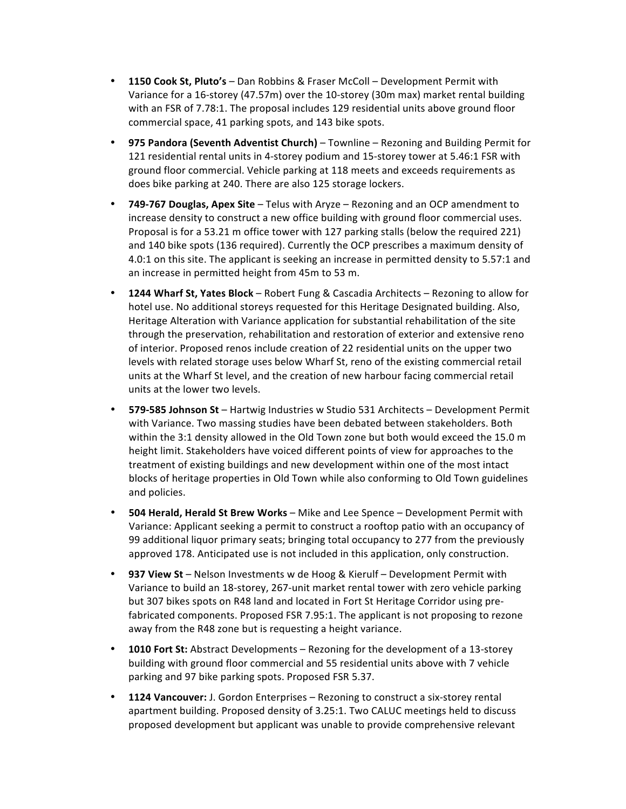- **1150 Cook St, Pluto's** Dan Robbins & Fraser McColl Development Permit with Variance for a 16-storey (47.57m) over the 10-storey (30m max) market rental building with an FSR of 7.78:1. The proposal includes 129 residential units above ground floor commercial space, 41 parking spots, and 143 bike spots.
- **975 Pandora (Seventh Adventist Church)** Townline Rezoning and Building Permit for 121 residential rental units in 4-storey podium and 15-storey tower at 5.46:1 FSR with ground floor commercial. Vehicle parking at 118 meets and exceeds requirements as does bike parking at 240. There are also 125 storage lockers.
- **749-767 Douglas, Apex Site** Telus with Aryze Rezoning and an OCP amendment to increase density to construct a new office building with ground floor commercial uses. Proposal is for a 53.21 m office tower with 127 parking stalls (below the required 221) and 140 bike spots (136 required). Currently the OCP prescribes a maximum density of 4.0:1 on this site. The applicant is seeking an increase in permitted density to 5.57:1 and an increase in permitted height from 45m to 53 m.
- **1244 Wharf St, Yates Block** Robert Fung & Cascadia Architects Rezoning to allow for hotel use. No additional storeys requested for this Heritage Designated building. Also, Heritage Alteration with Variance application for substantial rehabilitation of the site through the preservation, rehabilitation and restoration of exterior and extensive reno of interior. Proposed renos include creation of 22 residential units on the upper two levels with related storage uses below Wharf St, reno of the existing commercial retail units at the Wharf St level, and the creation of new harbour facing commercial retail units at the lower two levels.
- **579-585 Johnson St** Hartwig Industries w Studio 531 Architects Development Permit with Variance. Two massing studies have been debated between stakeholders. Both within the 3:1 density allowed in the Old Town zone but both would exceed the 15.0 m height limit. Stakeholders have voiced different points of view for approaches to the treatment of existing buildings and new development within one of the most intact blocks of heritage properties in Old Town while also conforming to Old Town guidelines and policies.
- **504 Herald, Herald St Brew Works** Mike and Lee Spence Development Permit with Variance: Applicant seeking a permit to construct a rooftop patio with an occupancy of 99 additional liquor primary seats; bringing total occupancy to 277 from the previously approved 178. Anticipated use is not included in this application, only construction.
- **937 View St** Nelson Investments w de Hoog & Kierulf Development Permit with Variance to build an 18-storey, 267-unit market rental tower with zero vehicle parking but 307 bikes spots on R48 land and located in Fort St Heritage Corridor using prefabricated components. Proposed FSR 7.95:1. The applicant is not proposing to rezone away from the R48 zone but is requesting a height variance.
- **1010 Fort St:** Abstract Developments Rezoning for the development of a 13-storey building with ground floor commercial and 55 residential units above with 7 vehicle parking and 97 bike parking spots. Proposed FSR 5.37.
- **1124 Vancouver:** J. Gordon Enterprises Rezoning to construct a six-storey rental apartment building. Proposed density of 3.25:1. Two CALUC meetings held to discuss proposed development but applicant was unable to provide comprehensive relevant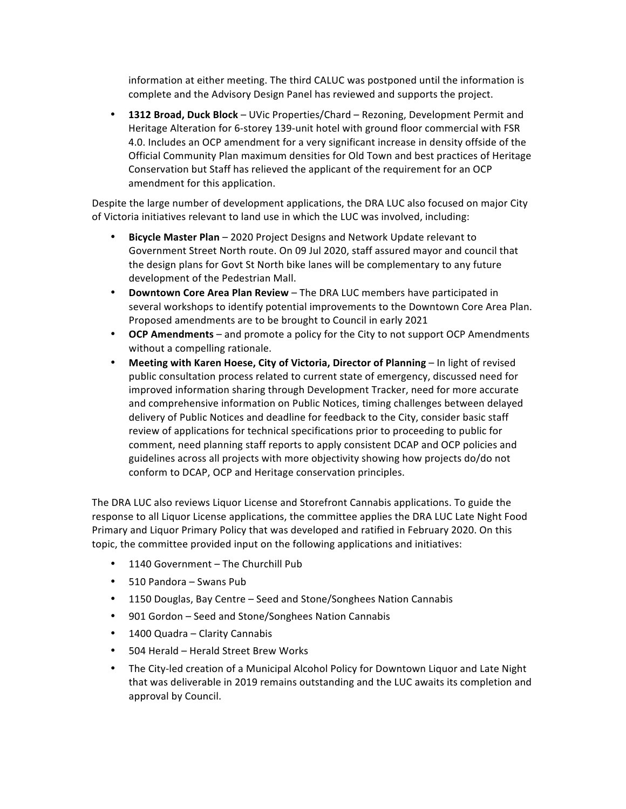information at either meeting. The third CALUC was postponed until the information is complete and the Advisory Design Panel has reviewed and supports the project.

**• 1312 Broad, Duck Block** – UVic Properties/Chard – Rezoning, Development Permit and Heritage Alteration for 6-storey 139-unit hotel with ground floor commercial with FSR 4.0. Includes an OCP amendment for a very significant increase in density offside of the Official Community Plan maximum densities for Old Town and best practices of Heritage Conservation but Staff has relieved the applicant of the requirement for an OCP amendment for this application.

Despite the large number of development applications, the DRA LUC also focused on major City of Victoria initiatives relevant to land use in which the LUC was involved, including:

- **Bicycle Master Plan** 2020 Project Designs and Network Update relevant to Government Street North route. On 09 Jul 2020, staff assured mayor and council that the design plans for Govt St North bike lanes will be complementary to any future development of the Pedestrian Mall.
- **Downtown Core Area Plan Review** The DRA LUC members have participated in several workshops to identify potential improvements to the Downtown Core Area Plan. Proposed amendments are to be brought to Council in early 2021
- **OCP Amendments** and promote a policy for the City to not support OCP Amendments without a compelling rationale.
- Meeting with Karen Hoese, City of Victoria, Director of Planning In light of revised public consultation process related to current state of emergency, discussed need for improved information sharing through Development Tracker, need for more accurate and comprehensive information on Public Notices, timing challenges between delayed delivery of Public Notices and deadline for feedback to the City, consider basic staff review of applications for technical specifications prior to proceeding to public for comment, need planning staff reports to apply consistent DCAP and OCP policies and guidelines across all projects with more objectivity showing how projects do/do not conform to DCAP, OCP and Heritage conservation principles.

The DRA LUC also reviews Liquor License and Storefront Cannabis applications. To guide the response to all Liquor License applications, the committee applies the DRA LUC Late Night Food Primary and Liquor Primary Policy that was developed and ratified in February 2020. On this topic, the committee provided input on the following applications and initiatives:

- 1140 Government The Churchill Pub
- 510 Pandora Swans Pub
- 1150 Douglas, Bay Centre Seed and Stone/Songhees Nation Cannabis
- 901 Gordon Seed and Stone/Songhees Nation Cannabis
- 1400 Quadra Clarity Cannabis
- 504 Herald Herald Street Brew Works
- The City-led creation of a Municipal Alcohol Policy for Downtown Liquor and Late Night that was deliverable in 2019 remains outstanding and the LUC awaits its completion and approval by Council.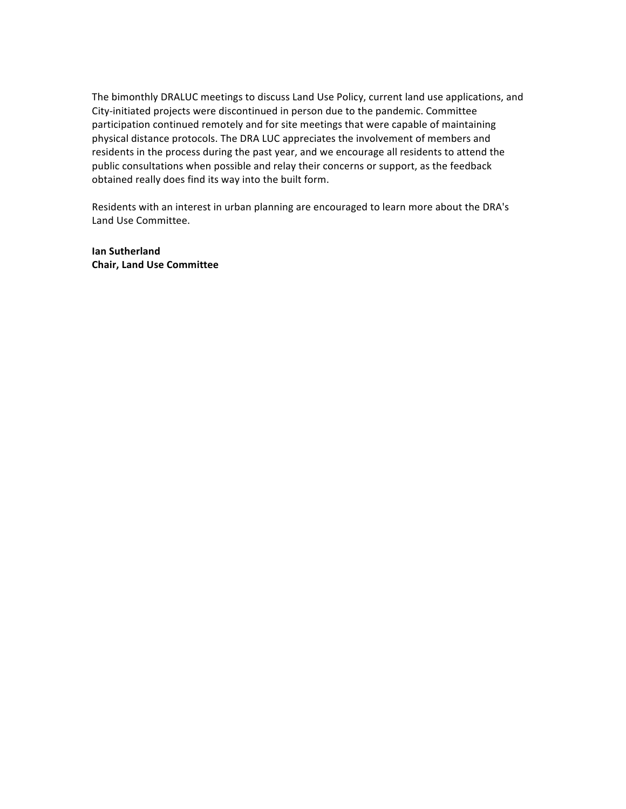The bimonthly DRALUC meetings to discuss Land Use Policy, current land use applications, and City-initiated projects were discontinued in person due to the pandemic. Committee participation continued remotely and for site meetings that were capable of maintaining physical distance protocols. The DRA LUC appreciates the involvement of members and residents in the process during the past year, and we encourage all residents to attend the public consultations when possible and relay their concerns or support, as the feedback obtained really does find its way into the built form.

Residents with an interest in urban planning are encouraged to learn more about the DRA's Land Use Committee.

**Ian Sutherland Chair, Land Use Committee**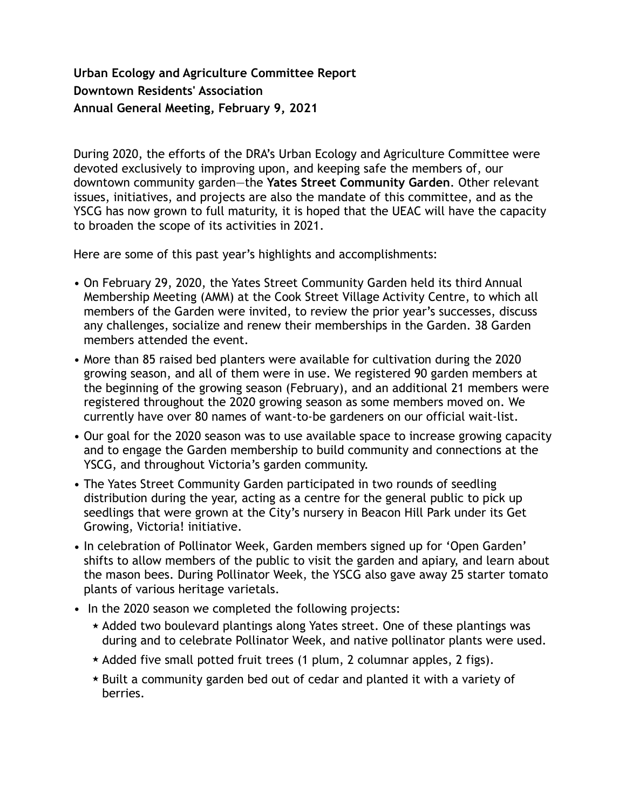# **Urban Ecology and Agriculture Committee Report Downtown Residents' Association Annual General Meeting, February 9, 2021**

During 2020, the efforts of the DRA's Urban Ecology and Agriculture Committee were devoted exclusively to improving upon, and keeping safe the members of, our downtown community garden—the **Yates Street Community Garden**. Other relevant issues, initiatives, and projects are also the mandate of this committee, and as the YSCG has now grown to full maturity, it is hoped that the UEAC will have the capacity to broaden the scope of its activities in 2021.

Here are some of this past year's highlights and accomplishments:

- On February 29, 2020, the Yates Street Community Garden held its third Annual Membership Meeting (AMM) at the Cook Street Village Activity Centre, to which all members of the Garden were invited, to review the prior year's successes, discuss any challenges, socialize and renew their memberships in the Garden. 38 Garden members attended the event.
- More than 85 raised bed planters were available for cultivation during the 2020 growing season, and all of them were in use. We registered 90 garden members at the beginning of the growing season (February), and an additional 21 members were registered throughout the 2020 growing season as some members moved on. We currently have over 80 names of want-to-be gardeners on our official wait-list.
- Our goal for the 2020 season was to use available space to increase growing capacity and to engage the Garden membership to build community and connections at the YSCG, and throughout Victoria's garden community.
- The Yates Street Community Garden participated in two rounds of seedling distribution during the year, acting as a centre for the general public to pick up seedlings that were grown at the City's nursery in Beacon Hill Park under its Get Growing, Victoria! initiative.
- In celebration of Pollinator Week, Garden members signed up for 'Open Garden' shifts to allow members of the public to visit the garden and apiary, and learn about the mason bees. During Pollinator Week, the YSCG also gave away 25 starter tomato plants of various heritage varietals.
- In the 2020 season we completed the following projects:
	- $\star$  Added two boulevard plantings along Yates street. One of these plantings was during and to celebrate Pollinator Week, and native pollinator plants were used.
	- $\star$  Added five small potted fruit trees (1 plum, 2 columnar apples, 2 figs).
	- ̣ Built a community garden bed out of cedar and planted it with a variety of berries.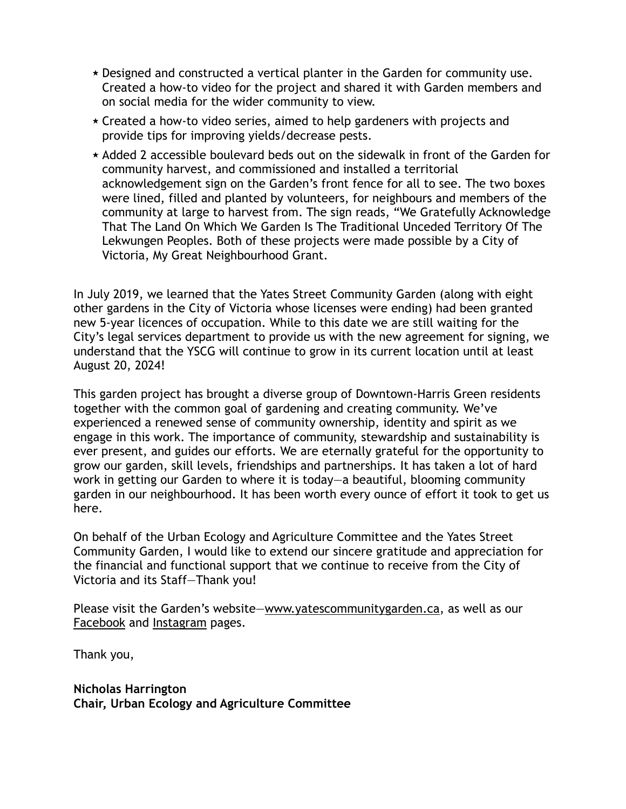- $\star$  Designed and constructed a vertical planter in the Garden for community use. Created a how-to video for the project and shared it with Garden members and on social media for the wider community to view.
- $\star$  Created a how-to video series, aimed to help gardeners with projects and provide tips for improving yields/decrease pests.
- $\star$  Added 2 accessible boulevard beds out on the sidewalk in front of the Garden for community harvest, and commissioned and installed a territorial acknowledgement sign on the Garden's front fence for all to see. The two boxes were lined, filled and planted by volunteers, for neighbours and members of the community at large to harvest from. The sign reads, "We Gratefully Acknowledge That The Land On Which We Garden Is The Traditional Unceded Territory Of The Lekwungen Peoples. Both of these projects were made possible by a City of Victoria, My Great Neighbourhood Grant.

In July 2019, we learned that the Yates Street Community Garden (along with eight other gardens in the City of Victoria whose licenses were ending) had been granted new 5-year licences of occupation. While to this date we are still waiting for the City's legal services department to provide us with the new agreement for signing, we understand that the YSCG will continue to grow in its current location until at least August 20, 2024!

This garden project has brought a diverse group of Downtown-Harris Green residents together with the common goal of gardening and creating community. We've experienced a renewed sense of community ownership, identity and spirit as we engage in this work. The importance of community, stewardship and sustainability is ever present, and guides our efforts. We are eternally grateful for the opportunity to grow our garden, skill levels, friendships and partnerships. It has taken a lot of hard work in getting our Garden to where it is today—a beautiful, blooming community garden in our neighbourhood. It has been worth every ounce of effort it took to get us here.

On behalf of the Urban Ecology and Agriculture Committee and the Yates Street Community Garden, I would like to extend our sincere gratitude and appreciation for the financial and functional support that we continue to receive from the City of Victoria and its Staff—Thank you!

Please visit the Garden's website—www.yatescommunitygarden.ca, as well as our Facebook and Instagram pages.

Thank you,

**Nicholas Harrington Chair, Urban Ecology and Agriculture Committee**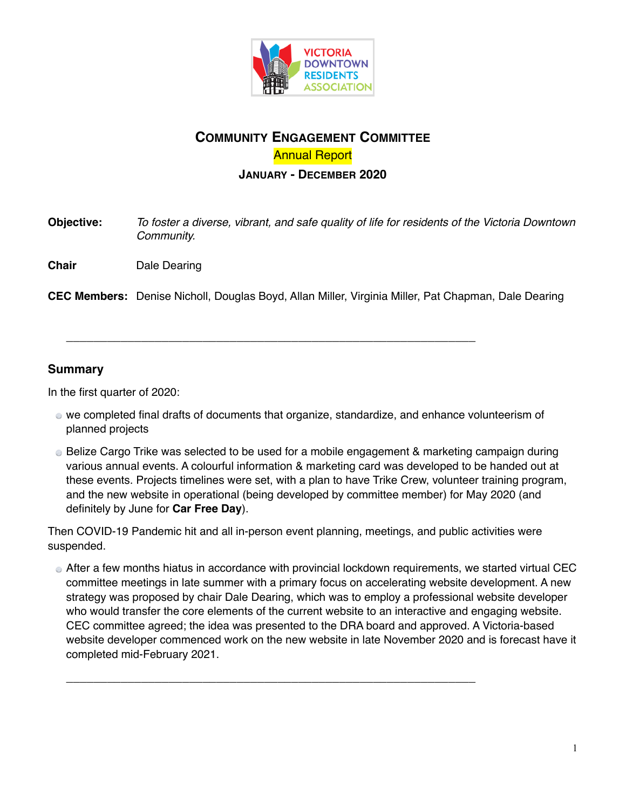

# **COMMUNITY ENGAGEMENT COMMITTEE** Annual Report

### **JANUARY - DECEMBER 2020**

**Objective:** *To foster a diverse, vibrant, and safe quality of life for residents of the Victoria Downtown Community.*

**Chair** Dale Dearing

**CEC Members:** Denise Nicholl, Douglas Boyd, Allan Miller, Virginia Miller, Pat Chapman, Dale Dearing

\_\_\_\_\_\_\_\_\_\_\_\_\_\_\_\_\_\_\_\_\_\_\_\_\_\_\_\_\_\_\_\_\_\_\_\_\_\_\_\_\_\_\_\_\_\_\_\_\_\_\_\_\_\_\_\_\_\_\_\_

### **Summary**

In the first quarter of 2020:

- we completed final drafts of documents that organize, standardize, and enhance volunteerism of planned projects
- Belize Cargo Trike was selected to be used for a mobile engagement & marketing campaign during various annual events. A colourful information & marketing card was developed to be handed out at these events. Projects timelines were set, with a plan to have Trike Crew, volunteer training program, and the new website in operational (being developed by committee member) for May 2020 (and definitely by June for **Car Free Day**).

Then COVID-19 Pandemic hit and all in-person event planning, meetings, and public activities were suspended.

\_\_\_\_\_\_\_\_\_\_\_\_\_\_\_\_\_\_\_\_\_\_\_\_\_\_\_\_\_\_\_\_\_\_\_\_\_\_\_\_\_\_\_\_\_\_\_\_\_\_\_\_\_\_\_\_\_\_\_\_

After a few months hiatus in accordance with provincial lockdown requirements, we started virtual CEC committee meetings in late summer with a primary focus on accelerating website development. A new strategy was proposed by chair Dale Dearing, which was to employ a professional website developer who would transfer the core elements of the current website to an interactive and engaging website. CEC committee agreed; the idea was presented to the DRA board and approved. A Victoria-based website developer commenced work on the new website in late November 2020 and is forecast have it completed mid-February 2021.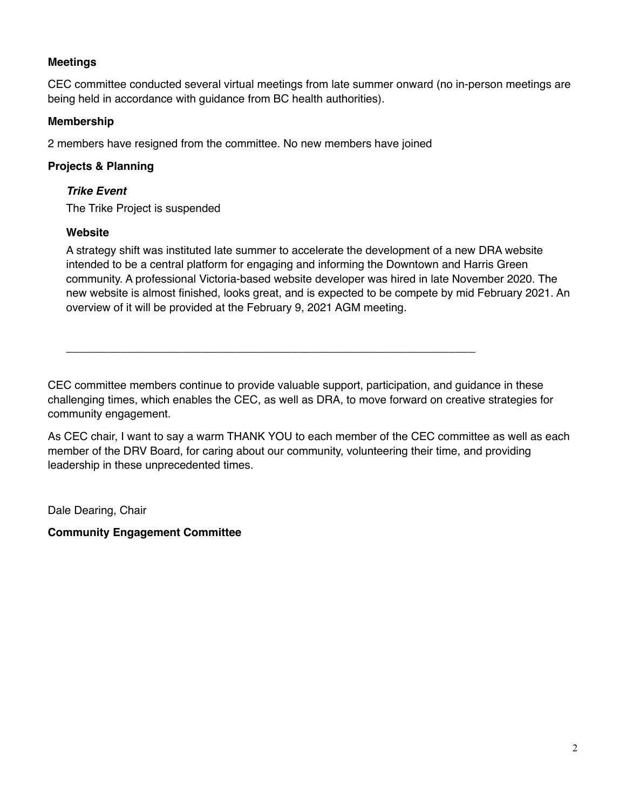## **Meetings**

CEC committee conducted several virtual meetings from late summer onward (no in-person meetings are being held in accordance with guidance from BC health authorities).

### **Membership**

2 members have resigned from the committee. No new members have joined

### **Projects & Planning**

### *Trike Event*

The Trike Project is suspended

### **Website**

A strategy shift was instituted late summer to accelerate the development of a new DRA website intended to be a central platform for engaging and informing the Downtown and Harris Green community. A professional Victoria-based website developer was hired in late November 2020. The new website is almost finished, looks great, and is expected to be compete by mid February 2021. An overview of it will be provided at the February 9, 2021 AGM meeting.

CEC committee members continue to provide valuable support, participation, and guidance in these challenging times, which enables the CEC, as well as DRA, to move forward on creative strategies for community engagement.

\_\_\_\_\_\_\_\_\_\_\_\_\_\_\_\_\_\_\_\_\_\_\_\_\_\_\_\_\_\_\_\_\_\_\_\_\_\_\_\_\_\_\_\_\_\_\_\_\_\_\_\_\_\_\_\_\_\_\_\_

As CEC chair, I want to say a warm THANK YOU to each member of the CEC committee as well as each member of the DRV Board, for caring about our community, volunteering their time, and providing leadership in these unprecedented times.

Dale Dearing, Chair

**Community Engagement Committee**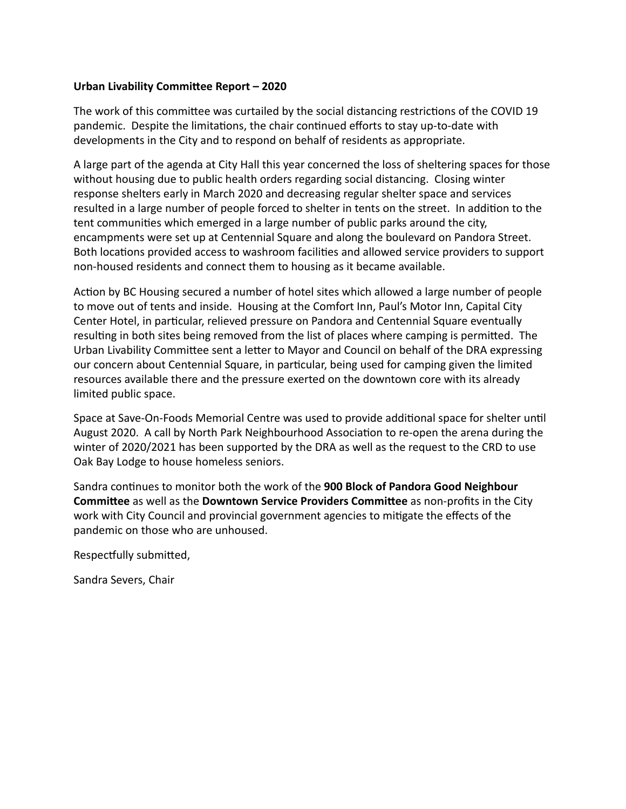### Urban Livability Committee Report - 2020

The work of this committee was curtailed by the social distancing restrictions of the COVID 19 pandemic. Despite the limitations, the chair continued efforts to stay up-to-date with developments in the City and to respond on behalf of residents as appropriate.

A large part of the agenda at City Hall this year concerned the loss of sheltering spaces for those without housing due to public health orders regarding social distancing. Closing winter response shelters early in March 2020 and decreasing regular shelter space and services resulted in a large number of people forced to shelter in tents on the street. In addition to the tent communities which emerged in a large number of public parks around the city, encampments were set up at Centennial Square and along the boulevard on Pandora Street. Both locations provided access to washroom facilities and allowed service providers to support non-housed residents and connect them to housing as it became available.

Action by BC Housing secured a number of hotel sites which allowed a large number of people to move out of tents and inside. Housing at the Comfort Inn, Paul's Motor Inn, Capital City Center Hotel, in particular, relieved pressure on Pandora and Centennial Square eventually resulting in both sites being removed from the list of places where camping is permitted. The Urban Livability Committee sent a letter to Mayor and Council on behalf of the DRA expressing our concern about Centennial Square, in particular, being used for camping given the limited resources available there and the pressure exerted on the downtown core with its already limited public space.

Space at Save-On-Foods Memorial Centre was used to provide additional space for shelter until August 2020. A call by North Park Neighbourhood Association to re-open the arena during the winter of 2020/2021 has been supported by the DRA as well as the request to the CRD to use Oak Bay Lodge to house homeless seniors.

Sandra continues to monitor both the work of the 900 Block of Pandora Good Neighbour **Committee** as well as the **Downtown Service Providers Committee** as non-profits in the City work with City Council and provincial government agencies to migate the effects of the pandemic on those who are unhoused.

Respectfully submitted,

Sandra Severs, Chair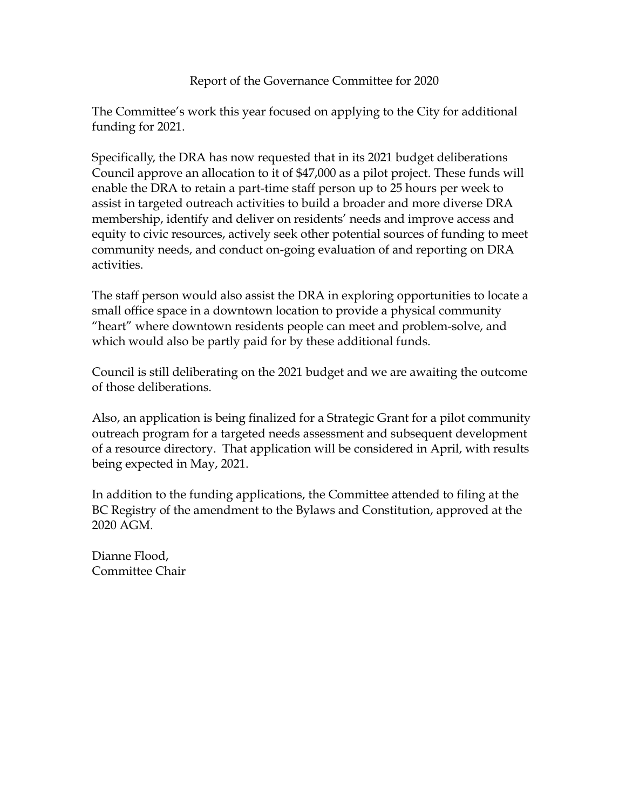## Report of the Governance Committee for 2020

The Committee's work this year focused on applying to the City for additional funding for 2021.

Specifically, the DRA has now requested that in its 2021 budget deliberations Council approve an allocation to it of \$47,000 as a pilot project. These funds will enable the DRA to retain a part-time staff person up to 25 hours per week to assist in targeted outreach activities to build a broader and more diverse DRA membership, identify and deliver on residents' needs and improve access and equity to civic resources, actively seek other potential sources of funding to meet community needs, and conduct on-going evaluation of and reporting on DRA activities.

The staff person would also assist the DRA in exploring opportunities to locate a small office space in a downtown location to provide a physical community "heart" where downtown residents people can meet and problem-solve, and which would also be partly paid for by these additional funds.

Council is still deliberating on the 2021 budget and we are awaiting the outcome of those deliberations.

Also, an application is being finalized for a Strategic Grant for a pilot community outreach program for a targeted needs assessment and subsequent development of a resource directory. That application will be considered in April, with results being expected in May, 2021.

In addition to the funding applications, the Committee attended to filing at the BC Registry of the amendment to the Bylaws and Constitution, approved at the 2020 AGM.

Dianne Flood, Committee Chair